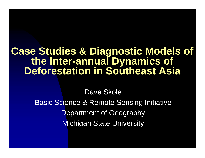## **Case Studies & Diagnostic Models of the Inter-annual Dynamics of Deforestation in Southeast Asia**

Dave Skole

**Basic Science & Remote Sensing Initiative Department of Geography** Michigan State University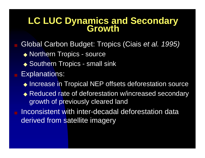# **LC LUC Dynamics and Secondary Growth**

- Global Carbon Budget: Tropics (Ciais *et al. 1995)* ◆ Northern Tropics - source ◆ Southern Tropics - small sink Explanations:
	- ◆ Increase in Tropical NEP offsets deforestation source
	- ◆ Reduced rate of deforestation w/increased secondary growth of previously cleared land
- Inconsistent with inter-decadal deforestation data derived from satellite imagery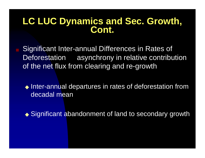# **LC LUC Dynamics and Sec. Growth, Cont.**

Significant Inter-annual Differences in Rates of Deforestation asynchrony in relative contribution of the net flux from clearing and re-growth

◆ Inter-annual departures in rates of deforestation from decadal mean

◆ Significant abandonment of land to secondary growth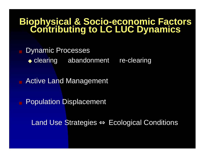# **Biophysical & Socio-economic Factors Contributing to LC LUC Dynamics**

**Dynamic Processes** 

◆ clearing abandonment re-clearing

**Active Land Management** 

**Population Displacement** 

Land Use Strategies ⇔ Ecological Conditions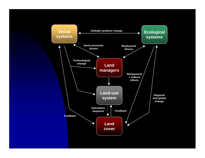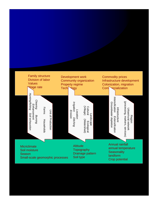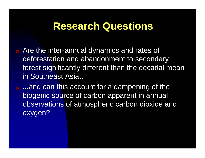## **Research Questions**

Are the inter-annual dynamics and rates of deforestation and abandonment to secondary forest significantly different than the decadal mean in Southeast Asia…

...and can this account for a dampening of the biogenic source of carbon apparent in annual observations of atmospheric carbon dioxide and oxygen?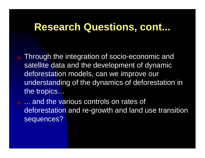## **Research Questions, cont...**

Through the integration of socio-economic and satellite data and the development of dynamic deforestation models, can we improve our understanding of the dynamics of deforestation in the tropics…

**E.** ... and the various controls on rates of deforestation and re-growth and land use transition sequences?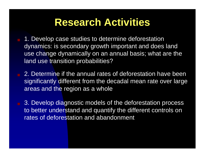## **Research Activities**

- 1. Develop case studies to determine deforestation dynamics: is secondary growth important and does land use change dynamically on an annual basis; what are the land use transition probabilities?
	- 2. Determine if the annual rates of deforestation have been significantly different from the decadal mean rate over large areas and the region as a whole
	- 3. Develop diagnostic models of the deforestation process to better understand and quantify the different controls on rates of deforestation and abandonment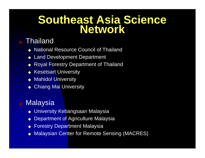## **Southeast Asia Science Network**

### **Thailand**

- **National Resource Council of Thailand**
- ◆ Land Development Department
- **Royal Forestry Department of Thailand**
- ◆ Kesetsart University
- **Mahidol University**
- **Chiang Mai University**

### **Malaysia**

- ◆ University Kebangsaan Malaysia
- **Department of Agriculture Malaysia**
- **Forestry Department Malaysia**
- **Malaysian Center for Remote Sensing (MACRES)**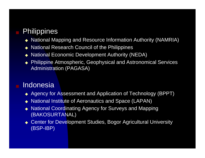### **Philippines**

- ◆ National Mapping and Resource Information Authority (NAMRIA)
- ◆ National Research Council of the Philippines
- ◆ National Economic Development Authority (NEDA)
- ◆ Philippine Atmospheric, Geophysical and Astronomical Services Administration (PAGASA)

### **Indonesia**

- ◆ Agency for Assessment and Application of Technology (BPPT)
- ◆ National Institute of Aeronautics and Space (LAPAN)
- ◆ National Coordinating Agency for Surveys and Mapping (BAKOSURTANAL)
- ◆ Center for Development Studies, Bogor Agricultural University (BSP-IBP)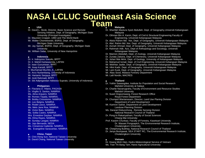### **NASA LCLUC Southeast Asia Science** ■ **USA** USA **Team**

Dr. David L. Skole, Director, Basic Science and Remote Sensing Initiative, Dept. of Geography, Michigan State University (Principal Investigator) Dr. Maureen Cropper, UMD and The World Bank Mr. Walter Chometowski, BSRSI, Dept. of Geography, Michigan State University Mr. Jay Samek, BSRSI, Dept. of Geography, Michigan State **University** Mr. William Salas, University of New Hampshire

#### ■ **Indonesia**

Dr. Ir. Indroyono Soesilo, BPPT Dr. Ir. Mahdi Kartasasmita, LAPAN Dr. Iwan Gunumwan, BPPT Mr. Asep Karsidi, BPPT Ir. Muchamad Muchlis JI.**,** LAPAN Dr. Arco Nurlambang, University of Indonesia Mr. Hartanto Sanjaya, BPPT Mr. Andi Rahmadi, BPPT Dr. Siti Adiprigandari Adiwoso Suprato, University of Indonesia

#### ■ **Philippines**

Dr. Flaviana D. Hilario, PAGASA Dr. Virgilio S. Santos, NAMRIA Ms. Alma Arquero, NAMRIA Mr. Romeo Tejada, NAMRIA, Mr. Bobby Crisostomo, NAMRIA Mr. Leo Belgria, NAMRIA Mr. Rodel Lasco, NAMRIA Ms. Melo Jane Roa, NAMRIA Mr. Victor Bato, NAMRIA Ms. Solita Castro, NAMRIA Mrs. Ernestine Gayban, NAMRIA Ms. Elma Rayes, NAMRIA Mr. Sunday Langad, NAMRIA Mr. Jojo Bernardo, NEDA Ms. Cresencia Cadiente, NAMRIA Ms. Evangeline Saracanlao, NAMRIA

#### ■ **China -Taipei**

Dr. Chin-Hong Sun, National Taiwan University Dr. David Chang, National Taiwan University

Dr. Othman Bin A. Karim, Dept. of Civil & Structural Engineering Faculty of Engineering, Universiti Kebangsaan Malaysia

- Dr. Abdul Rahim Md. Nor, Dept. of Geography, Universiti Kebangsaan Malaysia
- Dr. Abd. Rahim Md. Nor, Dept. of Geography, Universiti Kebangsaan Malaysia
- Dr. Asmah Ahmad, Dept. of Geography, Universiti Kebangsaan Malaysia
- Dr. Rahimah Adb. Aziz, Dept of Anthopology and Sociology, Universiti Kebangsaan Malaysia
- Dr. Maimon Abdullah, Dept. of Zoology, Universiti Kebangsaan Malaysia Dr. Zuriata Zakaria, Dept. of Chemestry, Universiti Kebangsaan Malaysia Dr. Juhari Mat Akhir, Dept. of Geology, University of Kebangsaan Malaysia Dr. Mahamud Ismail, Dept. of Civil Engineering, Universiti Kebangsan Malaysia Mr. Mokhtar Jaafar, Dept. of Geography, Universiti Kebangsaan Malaysia Mr. Hlmi Kadir, Dept. of Geography, Universiti Kebangsaan Malaysia Mr. Lam Kuok, Dept. of Geography, Universiti Kebangsaan Malaysia Mr. Alias Sood, Malasia Forestry Department Mr. Laili Nordin, MACRES

#### ■ **Thailand**

- Dr. Yothin Sawangdee, Institute for Population and Social Research Mahidol University at Salaya Dr. Charlie Navanugraha, Faculty of Environment and Resource Studies Mahidol University
- Dr. Suwit Ongsomwang, Forest Research Office Royal Forest Department
- Dr. Chumpol Wantanasarn, Director, Land Use Planing Division Department of Land Development
- Mr. Kamron Saifuk, Department of Land Development Landuse Planning Division
- Ms. Dararat Disbunchong , Remote Sensing Division National Research Council of Thailand
- Dr. Pong-In Rakariyatham, Faculty of Social Sciences Chiang Mai University
- Prof. Kasem Chunkao, Faculty of Forestry, Kasetsart University Dr. Wasant Pongsapich, The Environmental Research Institute, Chulalongkorn University
- Mr. Chetphong Butthep, National Research Council of Thailand
- Dr. Jariya Boonjawat, SEA START RC, The Environmental Research Institute, Chulalongkorn University

#### ■ **Vietnam**

Dr. Hoang Minh Hien, Hydro-Meteorological Service of Vietnam Ms. Tran Thi Bang Tam, Hanoi Agricultural University

Dr. Sharifah Mastura Syed Abdullah, Dept. of Geography,Universiti Kebangsaan Malaysia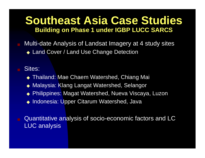### **Southeast Asia Case Studies Building on Phase 1 under IGBP LUCC SARCS**

Multi-date Analysis of Landsat Imagery at 4 study sites

◆ Land Cover / Land Use Change Detection

### Sites:

- ◆ Thailand: Mae Chaem Watershed, Chiang Mai
- ◆ Malaysia: Klang Langat Watershed, Selangor
- ◆ Philippines: Magat Watershed, Nueva Viscaya, Luzon
- ◆ Indonesia: Upper Citarum Watershed, Java
- Quantitative analysis of socio-economic factors and LC LUC analysis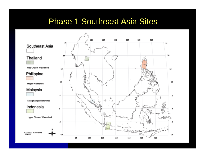### Phase 1 Southeast Asia Sites

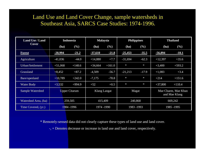### Land Use and Land Cover Change, sample watersheds in Southeast Asia, SARCS Case Studies: 1974-1996.

| <b>Land Use / Land</b> | <b>Indonesia</b>     |          | <b>Malaysia</b> |          | <b>Philippines</b> |         | <b>Thailand</b>                      |          |
|------------------------|----------------------|----------|-----------------|----------|--------------------|---------|--------------------------------------|----------|
| <b>Cover</b>           | (ha)                 | $(\%)$   | (ha)            | (%)      | (ha)               | $(\%)$  | (ha)                                 | $(\%)$   |
| <b>Forest</b>          | $-20,994$            | $-21.2$  | $-37,610$       | $-21.8$  | $-25,453$          | $-35.5$ | $-56,894$                            | $-10.1$  |
| Agriculture            | $-41,036$            | $-44.0$  | $+14,880$       | $+7.7$   | $-31,694$          | $-62.3$ | $+12,397$                            | $+35.6$  |
| Urban/Settlement       | $+51,068$            | $+148.6$ | $+34,664$       | $+161.0$ | $\ast$             | $\ast$  | $+3,400$                             | $+593.2$ |
| <b>Grassland</b>       | $+8,452$             | $+87.2$  | $-4,509$        | $-56.7$  | $-21,213$          | $-17.9$ | $+1,083$                             | $+3.4$   |
| Bare/openland          | $+10,789$            | $+242.0$ | $-7,175$        | $-78.8$  | $\ast$             | $\ast$  | $+214$                               | $+151.6$ |
| <b>Water Body</b>      | $+3,532$             | $+994.9$ | $+52$           | $+0.5$   | $\star$            | $\ast$  | $+37,800$                            | $+110.4$ |
| Sample Watershed       | <b>Upper Citarum</b> |          | Klang Langat    |          | Magat              |         | Mae Chaem, Mae Khan<br>and Mae Klang |          |
| Watershed Area, (ha)   | 259,505              |          | 415,409         |          | 240,868            |         | 669,242                              |          |
| Time Covered, (yr.)    | 1984 - 1996          |          | 1974 -1990      |          | 1983 -1993         |         | 1985 - 1995                          |          |

\* Remotely-sensed data did not clearly capture these types of land use and land cover.

-, + Denotes decrease or increase in land use and land cover, respectively.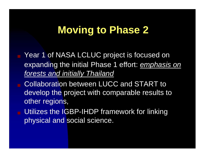## **Moving to Phase 2**

- Year 1 of NASA LCLUC project is focused on expanding the initial Phase 1 effort: *emphasis on forests and initially Thailand*
- Collaboration between LUCC and START to develop the project with comparable results to other regions,
- Utilizes the IGBP-IHDP framework for linking physical and social science.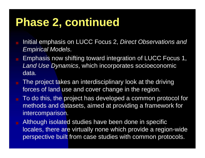## **Phase 2, continued**

- Initial emphasis on LUCC Focus 2, *Direct Observations and Empirical Models*.
- Emphasis now shifting toward integration of LUCC Focus 1, *Land Use Dynamics*, which incorporates socioeconomic data.
- The project takes an interdisciplinary look at the driving forces of land use and cover change in the region.
- To do this, the project has developed a common protocol for methods and datasets, aimed at providing a framework for intercomparison.
- Although isolated studies have been done in specific locales, there are virtually none which provide a region-wide perspective built from case studies with common protocols.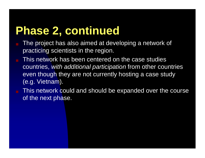## **Phase 2, continued**

- The project has also aimed at developing a network of practicing scientists in the region.
- This network has been centered on the case studies countries, *with additional participation* from other countries even though they are not currently hosting a case study (e.g. Vietnam).
- This network could and should be expanded over the course of the next phase.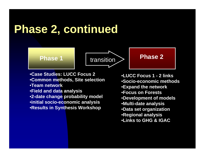## **Phase 2, continued**





•**Case Studies: LUCC Focus 2** •**Common methods, Site selection** •**Team network** •**Field and data analysis** •**2-date change probability model** •**initial socio-economic analysis** •**Results in Synthesis Workshop**

•**LUCC Focus 1 - 2 links** •**Socio-economic methods** •**Expand the network** •**Focus on Forests** •**Development of models** •**Multi-date analysis** •**Data set organization** •**Regional analysis** •**Links to GHG & IGAC**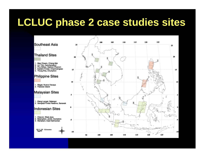## **LCLUC phase 2 case studies sites**

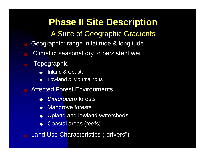## **Phase II Site Description**

### A Suite of Geographic Gradients

- Geographic: range in latitude & longitude
- Climatic: seasonal dry to persistent wet
- **Topographic** 
	- **Inland & Coastal**
	- **Lowland & Mountainous**
- **Affected Forest Environments** 
	- *Dipterocarp* forests
	- **Mangrove forests**
	- Upland and lowland watersheds
	- Coastal areas (reefs)

Land Use Characteristics ("drivers")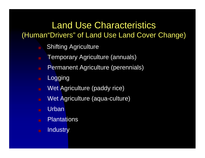### Land Use Characteristics (Human"Drivers" of Land Use Land Cover Change)

- **Shifting Agriculture**
- **Temporary Agriculture (annuals)**
- **B** Permanent Agriculture (perennials)
- Logging
- Wet Agriculture (paddy rice)
- Wet Agriculture (aqua-culture)
- **Urban**
- Plantations
- Industry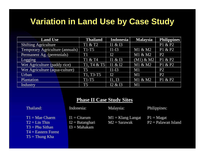### **Variation in Land Use by Case Study**

| <b>Land Use</b>                 | <b>Thailand</b> | <b>Indonesia</b> | <b>Malaysia</b> | <b>Philippines</b> |
|---------------------------------|-----------------|------------------|-----------------|--------------------|
| <b>Shifting Agriculture</b>     | T1 & T2         | I1 & I3          |                 | P1 & P2            |
| Temporary Agriculture (annuals) | $T1-T5$         | $I1-I3$          | M1 & M2         | P1 & P2            |
| Permanent Ag. (perennials)      | TI              | I2               | M1 & M2         | P <sub>2</sub>     |
| Logging                         | T1 & T4         | I1 & $I3$        | $(M1)$ & M2     | P1 & P2            |
| Wet Agriculture (paddy rice)    | T1, T4 & T5     | I1 & $I2$        | M1 & M2         | P1 & P2            |
| Wet Agriculture (aqua-culture)  | T <sub>5</sub>  | $I1-I3$          | M1              | P <sub>2</sub>     |
| Urban                           | T1, T3-T5       | I2               | M1              | P <sub>2</sub>     |
| Plantation                      | $T1-T5$         | I1, I3           | M1 & M2         | P1 & P2            |
| Industry                        | T <sub>5</sub>  | I2 & I3          | M1              |                    |

#### **Phase II Case Study Sites**

#### Thailand:

#### Indonesia:

 $I1 = Citarum$ 

I2 = Batanghari  $I3 = Mahakam$ 

Malaysia:

#### Philippines:

- $T1 = Mac Chaem$
- $T2 = Lin Thin$
- $T3 = Phu Sithan$
- 
- T4 = Eastern Forest
- $T5 = Thung Kha$
- $M1 =$ Klang Langat  $M2 =$ Sarawak
- $P1 = Magat$
- P2 = Palawan Island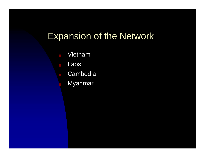## Expansion of the Network

- **Vietnam**
- Laos
	- **Cambodia** 
		- **Myanmar**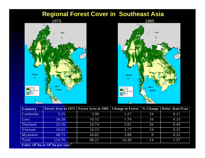

| Cambodia<br>5.25<br>3.98<br>24<br>0.11<br>1.27<br>Laos<br>0.15<br>18.28<br>1.76<br>10<br>16.52<br>Thailand<br>0.49<br>5.81<br>22.56<br>16.74<br>26<br>Vietnam<br>19<br>0.31<br>19.92<br>16.15<br>3.77<br>44.82<br>3.88<br>0.32<br>48.71<br>8<br>Myanmar | <b>Country</b> | <b>Forest Area in 1973</b> | <b>Forest Area in 1985 Change in Forest</b> |  | $%$ Change Defor. Rate/Year |
|---------------------------------------------------------------------------------------------------------------------------------------------------------------------------------------------------------------------------------------------------------|----------------|----------------------------|---------------------------------------------|--|-----------------------------|
|                                                                                                                                                                                                                                                         |                |                            |                                             |  |                             |
|                                                                                                                                                                                                                                                         |                |                            |                                             |  |                             |
|                                                                                                                                                                                                                                                         |                |                            |                                             |  |                             |
|                                                                                                                                                                                                                                                         |                |                            |                                             |  |                             |
|                                                                                                                                                                                                                                                         |                |                            |                                             |  |                             |
| 114.70<br>98.21<br>1.37<br>Total<br>16.49<br>14                                                                                                                                                                                                         |                |                            |                                             |  |                             |

Units: 10<sup>°</sup> ha or 10<sup>°</sup> ha per year<sup>-1</sup>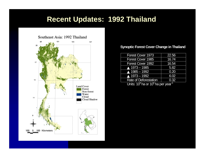### **Recent Updates: 1992 Thailand**



#### **Synoptic Forest Cover Change in Thailand**

| <b>Forest Cover 1973</b>                                       | 22.56 |  |  |  |
|----------------------------------------------------------------|-------|--|--|--|
| <b>Forest Cover 1985</b>                                       | 16.74 |  |  |  |
| Forest Cover 1992                                              | 16.54 |  |  |  |
| $\triangle$ 1973 - 1985                                        | 5.82  |  |  |  |
| $\triangle$ 1985 - 1992                                        | 0.20  |  |  |  |
| $\triangle$ 1973 - 1992                                        | 6.02  |  |  |  |
| <b>Rate of Deforestation</b>                                   | 0.32  |  |  |  |
| $1 \text{ hits: } 10^6 \text{ he} \text{ or } 10^6 \text{ he}$ |       |  |  |  |

Units: 10 $^{\rm 6}$ ha or 10 $^{\rm 6}$ ha per year $^{\rm 1}$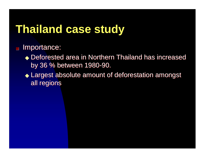## **Thailand case study**

### ■ Importance:

- ◆ Deforested area in Northern Thailand has increased by 36 % between 1980-90. by 36 % between 1980-90.
- ◆ Largest absolute amount of deforestation amongst Largest absolute amount of deforestation amongst all regions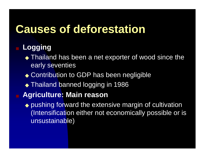## **Causes of deforestation**

## ■ **Logging**

- ◆ Thailand has been a net exporter of wood since the early seventies
- ◆ Contribution to GDP has been negligible
- ◆ Thailand banned logging in 1986
- **Agriculture: Main reason**
	- ◆ pushing forward the extensive margin of cultivation (Intensification either not economically possible or is unsustainable)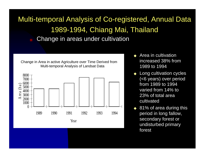### Multi-temporal Analysis of Co-registered, Annual Data 1989-1994, Chiang Mai, Thailand Change in areas under cultivation

Change in Area in active Agriculture over Time Derived from Multi-temporal Analysis of Landsat Data



- ◆ Area in cultivation increased 38% from 1989 to 1994
- **Long cultivation cycles** (<6 years) over period from 1989 to 1994 varied from 14% to 23% of total area cultivated
- 81% of area during this period in long fallow, secondary forest or undisturbed primary forest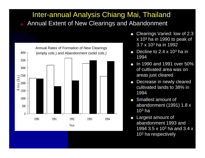### Inter-annual Analysis Chiang Mai, Thailand Annual Extent of New Clearings and Abandonment



- Clearings Varied: low of 2.3 x 10 3 ha in 1990 to peak of 3.7 x 10 3 ha in 1992
- $\bullet$  Decline to 2.4 x 10<sup>3</sup> ha in 1994
- In 1990 and 1991 over 50% of cultivated area was on areas just cleared
- Decrease in newly cleared cultivated lands to 38% in 1994
- ◆ Smallest amount of abandonment (1991) 1.8 x 10 $^{\rm 3}$  ha
- **Largest amount of** abandonment 1993 and 1994 3.5 x 10<sup>3</sup> ha and 3.4 x 10 $^{\rm 3}$  ha respectively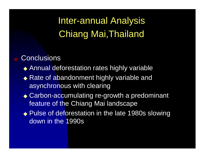## Inter-annual Analysis Chiang Mai,Thailand

### **Conclusions**

- ◆ Annual deforestation rates highly variable
- ◆ Rate of abandonment highly variable and asynchronous with clearing
- ◆ Carbon-accumulating re-growth a predominant feature of the Chiang Mai landscape
- ◆ Pulse of deforestation in the late 1980s slowing down in the 1990s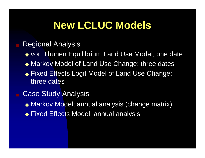## **New LCLUC Models**

### **Regional Analysis**

- ◆ von Thünen Equilibrium Land Use Model; one date
- ◆ Markov Model of Land Use Change; three dates
- ◆ Fixed Effects Logit Model of Land Use Change; three dates
- **Case Study Analysis** 
	- ◆ Markov Model; annual analysis (change matrix)
	- ◆ Fixed Effects Model; annual analysis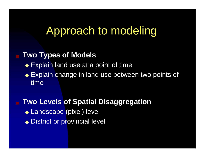## Approach to modeling

### **Two Types of Models**

- ◆ Explain land use at a point of time
- ◆ Explain change in land use between two points of time
- **Two Levels of Spatial Disaggregation** ◆ Landscape (pixel) level ◆ District or provincial level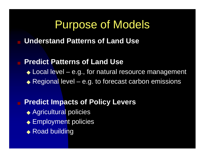## Purpose of Models

### **Understand Patterns of Land Use**

### **Predict Patterns of Land Use**

- ◆ Local level e.g., for natural resource management
- $\triangle$  Regional level e.g. to forecast carbon emissions

### **Predict Impacts of Policy Levers**

- ◆ Agricultural policies
- ◆ Employment policies
- ◆ Road building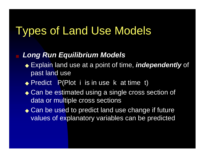## Types of Land Use Models

### **Long Run Equilibrium Models**

- ◆ Explain land use at a point of time, *independently* of past land use
- ◆ Predict P(Plot i is in use k at time t)
- ◆ Can be estimated using a single cross section of data or multiple cross sections
- ◆ Can be used to predict land use change if future values of explanatory variables can be predicted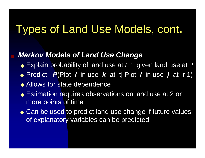#### Types of Land Use Models, cont **.**

### **Markov Models of Land Use Change**

- ◆ Explain probability of land use at *t*+1 given land use at t
- ◆ Predict P(Plot *i* in use *k* at t| Plot *i* in use *j* at *t*-1)
- ◆ Allows for state dependence
- ◆ Estimation requires observations on land use at 2 or more points of time
- ◆ Can be used to predict land use change if future values of explanatory variables can be predicted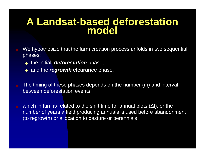## **A Landsat-based deforestation model**

- We hypothesize that the farm creation process unfolds in two sequential phases:
	- ◆ the initial, *deforestation* phase,
	- ◆ and the *regrowth* clearance phase.
- The timing of these phases depends on the number (m) and interval between deforestation events,
- which in turn is related to the shift time for annual plots (∆t), or the number of years a field producing annuals is used before abandonment (to regrowth) or allocation to pasture or perennials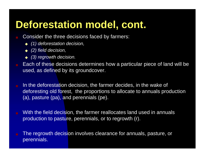- Consider the three decisions faced by farmers:
	- ◆ *(1) deforestation decision,*
	- ◆ *(2) field decision,*
	- ◆ *(3) regrowth decision.*
- Each of these decisions determines how a particular piece of land will be used, as defined by its groundcover.
- **IF In the deforestation decision, the farmer decides, in the wake of** deforesting old forest, the proportions to allocate to annuals production (a), pasture (pa), and perennials (pe).
- With the field decision, the farmer reallocates land used in annuals production to pasture, perennials, or to regrowth (r).
- The regrowth decision involves clearance for annuals, pasture, or perennials.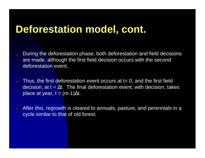- During the deforestation phase, both deforestation and field decisions are made, although the first field decision occurs with the second deforestation event,
- Thus, the first deforestation event occurs at  $t=0$ , and the first field decision, at t =  $\Delta$ t. The final deforestation event, with decision, takes place at year, t = (m-1) $\Delta$ t.
- After this, regrowth is cleared to annuals, pasture, and perennials in a cycle similar to that of old forest.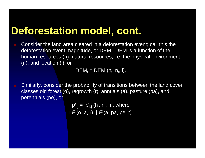Consider the land area cleared in a deforestation event; call this the deforestation event magnitude, or DEM. DEM is a function of the human resources (h), natural resources, i.e. the physical environment (n), and location (l), or

 $DEM_t = DEM (h_t, n_t, l).$ 

■ Similarly, consider the probability of transitions between the land cover classes old forest (o), regrowth (r), annuals (a), pasture (pa), and perennials (pe), or

> $p_{i,j}^t = p_{i,j}^t (h_t, n_t, l)$ ., where  $\mathsf{l}\in$  (o, a, r),  $\mathsf{j}\in$  (a, pa, pe, r).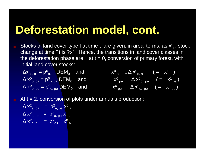Stocks of land cover type I at time t are given, in areal terms, as  $x<sup>t</sup>$ <sub>1</sub>; stock change at time ?t is ?x<sup>t</sup>;. Hence, the transitions in land cover classes in the deforestation phase are  $at t = 0$ , conversion of primary forest, with initial land cover stocks:

> $\mathsf{a}$ )

 $\mathsf{X}^1_{\phantom{1}\mathsf{pa}}$ 

 $\mathsf{X}^1$  pe

)

)

$$
\Delta x^{0}_{o, a} = p^{0}_{o, a} \quad \text{DEM}_0 \quad \text{and} \quad\n\begin{array}{ccc}\n\Delta x^{0}_{o, a} = p^{0}_{o, a} & \text{DEM}_0 \\
\Delta x^{0}_{o, pa} = p^{0}_{o, pa} & \text{DEM}_0 & \text{and} \\
\Delta x^{0}_{o, pe} = p^{0}_{o, pe} & \text{DEM}_0 & \text{and} \\
\Delta x^{0}_{o, pe} = p^{0}_{o, pe} & \text{DEM}_0 & \text{and} \\
\end{array}\n\qquad\n\begin{array}{ccc}\n\Delta x^{0}_{o, a} & \text{if } a = 0 \\
\Delta x^{0}_{o, pa} & \Delta x^{0}_{o, pa} \\
\end{array}\n\qquad\n\begin{array}{ccc}\n\Delta x^{0}_{o, a} & \text{if } a = 0 \\
\Delta x^{0}_{o, pa} & \Delta x^{0}_{o, pa} \\
\end{array}
$$

At  $t = 2$ , conversion of plots under annuals production:

$$
\Delta x^{2}_{a,pa} = p^{2}_{a,pa} x^{0}_{a}
$$
  
\n
$$
\Delta x^{2}_{a,pe} = p^{2}_{a,pe} x^{0}_{a}
$$
  
\n
$$
\Delta x^{2}_{a, r} = p^{2}_{a, r} x^{0}_{a}
$$